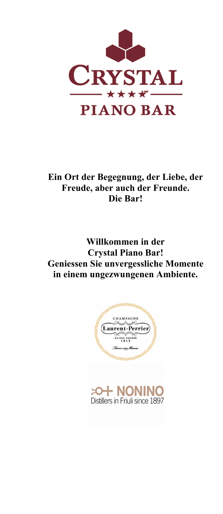

**Ein Ort der Begegnung, der Liebe, der Freude, aber auch der Freunde. Die Bar!**

**Willkommen in der Crystal Piano Bar! Geniessen Sie unvergessliche Momente in einem ungezwungenen Ambiente.**



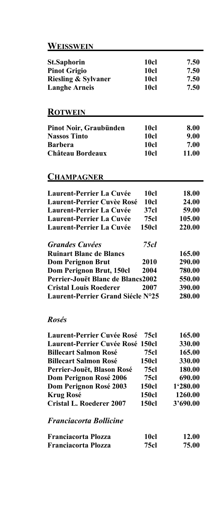| WEISSWEIN                                                     |                  |                  |
|---------------------------------------------------------------|------------------|------------------|
| <b>St.Saphorin</b>                                            | 10cl             | 7.50             |
| <b>Pinot Grigio</b>                                           | 10cl             | 7.50             |
| <b>Riesling &amp; Sylvaner</b>                                | 10cl             | 7.50             |
| <b>Langhe Arneis</b>                                          | 10cl             | 7.50             |
|                                                               |                  |                  |
|                                                               |                  |                  |
| <b>ROTWEIN</b>                                                |                  |                  |
| Pinot Noir, Graubünden                                        | <b>10cl</b>      | 8.00             |
| <b>Nassos Tinto</b>                                           | 10cl             | 9.00             |
| <b>Barbera</b>                                                | 10cl             | 7.00             |
| Château Bordeaux                                              | 10cl             | 11.00            |
|                                                               |                  |                  |
| <b>CHAMPAGNER</b>                                             |                  |                  |
| <b>Laurent-Perrier La Cuvée</b>                               | 10cl             | 18.00            |
| <b>Laurent-Perrier Cuvèe Rosé</b>                             | 10cl             | 24.00            |
| <b>Laurent-Perrier La Cuvée</b>                               | 37 <sub>cl</sub> | 59.00            |
| <b>Laurent-Perrier La Cuvée</b>                               | 75cl             | 105.00           |
| <b>Laurent-Perrier La Cuvée</b>                               | <b>150cl</b>     | 220.00           |
|                                                               |                  |                  |
| <b>Grandes Cuvées</b>                                         | 75 cl            |                  |
| <b>Ruinart Blanc de Blancs</b>                                |                  | 165.00           |
| <b>Dom Perignon Brut</b>                                      | 2010             | 290.00           |
| Dom Perignon Brut, 150cl<br>Perrier-Jouët Blanc de Blancs2002 | 2004             | 780.00           |
| <b>Cristal Louis Roederer</b>                                 |                  | 550.00           |
| Laurent-Perrier Grand Siécle N°25                             | 2007             | 390.00<br>280.00 |
|                                                               |                  |                  |
| <b>Rosés</b>                                                  |                  |                  |
| <b>Laurent-Perrier Cuvée Rosé</b>                             | 75cl             | 165.00           |
| Laurent-Perrier Cuvée Rosé 150cl                              |                  | 330.00           |
| <b>Billecart Salmon Rosé</b>                                  | 75cl             | 165.00           |
| <b>Billecart Salmon Rosé</b>                                  | <b>150cl</b>     | 330.00           |
| Perrier-Jouët, Blason Rosé                                    | 75cl             | 180.00           |
| Dom Perignon Rosé 2006                                        | <b>75cl</b>      | 690.00           |
| Dom Perignon Rosé 2003                                        | <b>150cl</b>     | 1'280.00         |
| <b>Krug Rosé</b>                                              | <b>150cl</b>     | 1260.00          |
| <b>Cristal L. Roederer 2007</b>                               | <b>150cl</b>     | 3'690.00         |
| <b>Franciacorta Bollicine</b>                                 |                  |                  |
| <b>Franciacorta Plozza</b>                                    | <b>10cl</b>      | 12.00            |
| <b>Franciacorta Plozza</b>                                    | 75cl             | 75.00            |
|                                                               |                  |                  |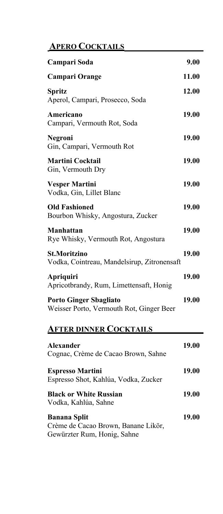## **APERO COCKTAILS**

| Campari Soda                                                              | 9.00         |
|---------------------------------------------------------------------------|--------------|
| <b>Campari Orange</b>                                                     | 11.00        |
| <b>Spritz</b><br>Aperol, Campari, Prosecco, Soda                          | 12.00        |
| Americano<br>Campari, Vermouth Rot, Soda                                  | 19.00        |
| Negroni<br>Gin, Campari, Vermouth Rot                                     | 19.00        |
| <b>Martini Cocktail</b><br>Gin, Vermouth Dry                              | 19.00        |
| <b>Vesper Martini</b><br>Vodka, Gin, Lillet Blanc                         | 19.00        |
| <b>Old Fashioned</b><br>Bourbon Whisky, Angostura, Zucker                 | 19.00        |
| <b>Manhattan</b><br>Rye Whisky, Vermouth Rot, Angostura                   | 19.00        |
| <b>St.Moritzino</b><br>Vodka, Cointreau, Mandelsirup, Zitronensaft        | 19.00        |
| <b>Apriquiri</b><br>Apricotbrandy, Rum, Limettensaft, Honig               | 19.00        |
| <b>Porto Ginger Sbagliato</b><br>Weisser Porto, Vermouth Rot, Ginger Beer | <b>19.00</b> |
| <b>AFTER DINNER COCKTAILS</b>                                             |              |
| <b>Alexander</b><br>Cognac, Crème de Cacao Brown, Sahne                   | 19.00        |
| <b>Espresso Martini</b><br>Espresso Shot, Kahlúa, Vodka, Zucker           | 19.00        |
| <b>Black or White Russian</b><br>Vodka, Kahlúa, Sahne                     | 19.00        |
| <b>Banana Split</b><br>Crème de Cacao Brown, Banane Likör,                | 19.00        |

Gewürzter Rum, Honig, Sahne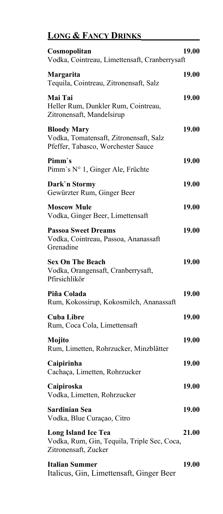# **LONG & FANCY DRINKS**

| Cosmopolitan<br>Vodka, Cointreau, Limettensaft, Cranberrysaft                                      | 19.00        |
|----------------------------------------------------------------------------------------------------|--------------|
| Margarita<br>Tequila, Cointreau, Zitronensaft, Salz                                                | 19.00        |
| Mai Tai<br>Heller Rum, Dunkler Rum, Cointreau,<br>Zitronensaft, Mandelsirup                        | 19.00        |
| <b>Bloody Mary</b><br>Vodka, Tomatensaft, Zitronensaft, Salz<br>Pfeffer, Tabasco, Worchester Sauce | 19.00        |
| Pimm's<br>Pimm's N° 1, Ginger Ale, Früchte                                                         | 19.00        |
| Dark'n Stormy<br>Gewürzter Rum, Ginger Beer                                                        | 19.00        |
| <b>Moscow Mule</b><br>Vodka, Ginger Beer, Limettensaft                                             | 19.00        |
| <b>Passoa Sweet Dreams</b><br>Vodka, Cointreau, Passoa, Ananassaft<br>Grenadine                    | 19.00        |
| <b>Sex On The Beach</b><br>Vodka, Orangensaft, Cranberrysaft,<br>Pfirsichlikör                     | 19.00        |
| Piña Colada<br>Rum, Kokossirup, Kokosmilch, Ananassaft                                             | 19.00        |
| <b>Cuba Libre</b><br>Rum, Coca Cola, Limettensaft                                                  | 19.00        |
| Mojito<br>Rum, Limetten, Rohrzucker, Minzblätter                                                   | 19.00        |
| Caipirinha<br>Cachaça, Limetten, Rohrzucker                                                        | 19.00        |
| Caipiroska<br>Vodka, Limetten, Rohrzucker                                                          | 19.00        |
| <b>Sardinian Sea</b><br>Vodka, Blue Curaçao, Citro                                                 | 19.00        |
| <b>Long Island Ice Tea</b><br>Vodka, Rum, Gin, Tequila, Triple Sec, Coca,<br>Zitronensaft, Zucker  | 21.00        |
| <b>Italian Summer</b><br>Italicus, Gin, Limettensaft, Ginger Beer                                  | <b>19.00</b> |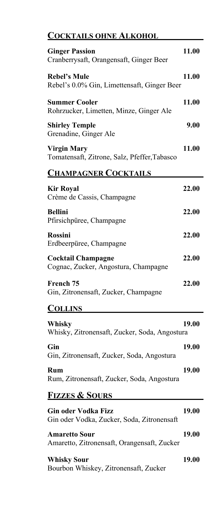## **COCKTAILS OHNE ALKOHOL**

| <b>Ginger Passion</b><br>Cranberrysaft, Orangensaft, Ginger Beer         | 11.00 |
|--------------------------------------------------------------------------|-------|
| <b>Rebel's Mule</b><br>Rebel's 0.0% Gin, Limettensaft, Ginger Beer       | 11.00 |
| <b>Summer Cooler</b><br>Rohrzucker, Limetten, Minze, Ginger Ale          | 11.00 |
| <b>Shirley Temple</b><br>Grenadine, Ginger Ale                           | 9.00  |
| <b>Virgin Mary</b><br>Tomatensaft, Zitrone, Salz, Pfeffer, Tabasco       | 11.00 |
| <b>CHAMPAGNER COCKTAILS</b>                                              |       |
| <b>Kir Royal</b><br>Crème de Cassis, Champagne                           | 22.00 |
| <b>Bellini</b><br>Pfirsichpüree, Champagne                               | 22.00 |
| <b>Rossini</b><br>Erdbeerpüree, Champagne                                | 22.00 |
| <b>Cocktail Champagne</b><br>Cognac, Zucker, Angostura, Champagne        | 22.00 |
| French 75<br>Gin, Zitronensaft, Zucker, Champagne                        | 22.00 |
| <b>COLLINS</b>                                                           |       |
| Whisky<br>Whisky, Zitronensaft, Zucker, Soda, Angostura                  | 19.00 |
| Gin<br>Gin, Zitronensaft, Zucker, Soda, Angostura                        | 19.00 |
| Rum<br>Rum, Zitronensaft, Zucker, Soda, Angostura                        | 19.00 |
| <b>FIZZES &amp; SOURS</b>                                                |       |
| <b>Gin oder Vodka Fizz</b><br>Gin oder Vodka, Zucker, Soda, Zitronensaft | 19.00 |
| <b>Amaretto Sour</b><br>Amaretto, Zitronensaft, Orangensaft, Zucker      | 19.00 |
| <b>Whisky Sour</b><br>Bourbon Whiskey, Zitronensaft, Zucker              | 19.00 |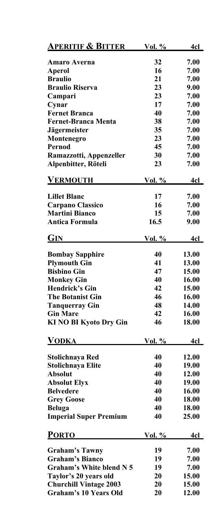| <b>Amaro Averna</b><br>32<br>7.00<br>16<br>7.00<br>Aperol<br><b>Braulio</b><br>21<br>7.00<br>23<br><b>Braulio Riserva</b><br>9.00<br>23<br>7.00<br>Campari<br>17<br>Cynar<br>7.00<br><b>Fernet Branca</b><br>40<br>7.00<br><b>Fernet-Branca Menta</b><br>38<br>7.00<br>35<br><b>Jägermeister</b><br>7.00<br>Montenegro<br>23<br>7.00<br>45<br>Pernod<br>7.00<br>30<br>Ramazzotti, Appenzeller<br>7.00<br>Alpenbitter, Röteli<br>23<br>7.00<br><b>VERMOUTH</b><br><u>Vol. %</u><br>4cl<br>17<br>7.00<br><b>Lillet Blanc</b><br>16<br>7.00<br><b>Carpano Classico</b><br><b>Martini Bianco</b><br>15<br>7.00<br>16.5<br><b>Antica Formula</b><br>9.00<br><b>GIN</b><br><u>Vol. %</u><br>4cl<br>40<br>13.00<br><b>Bombay Sapphire</b><br><b>Plymouth Gin</b><br>41<br>13.00<br><b>Bisbino Gin</b><br>47<br>15.00<br>40<br><b>Monkey Gin</b><br>16.00<br><b>Hendrick's Gin</b><br>42<br>15.00<br><b>The Botanist Gin</b><br>46<br>16.00<br>48<br>14.00<br><b>Tanquerray Gin</b><br><b>Gin Mare</b><br>42<br>16.00<br>46<br><b>KI NO BI Kyoto Dry Gin</b><br>18.00<br>VODKA<br>Vol. $\%$<br>4cl<br>40<br><b>Stolichnaya Red</b><br>12.00<br><b>Stolichnaya Elite</b><br>40<br>19.00<br><b>Absolut</b><br>40<br>12.00<br>40<br><b>Absolut Elyx</b><br>19.00<br>40<br><b>Belvedere</b><br>16.00<br><b>Grey Goose</b><br>40<br>18.00<br>40<br>18.00<br><b>Beluga</b><br><b>Imperial Super Premium</b><br>40<br>25.00<br><b>PORTO</b><br>4cl<br><u>Vol. %</u><br>7.00<br><b>Graham's Tawny</b><br>19<br><b>Graham's Bianco</b><br>19<br>7.00<br><b>Graham's White blend N 5</b><br>19<br>7.00<br>Taylor's 20 years old<br>20<br>15.00<br><b>Churchill Vintage 2003</b><br>20<br>15.00<br><b>Graham's 10 Years Old</b><br>20<br>12.00 | <u>Aperitif &amp; Bitter</u> | <u>Vol. %</u> | 4c1 |
|-----------------------------------------------------------------------------------------------------------------------------------------------------------------------------------------------------------------------------------------------------------------------------------------------------------------------------------------------------------------------------------------------------------------------------------------------------------------------------------------------------------------------------------------------------------------------------------------------------------------------------------------------------------------------------------------------------------------------------------------------------------------------------------------------------------------------------------------------------------------------------------------------------------------------------------------------------------------------------------------------------------------------------------------------------------------------------------------------------------------------------------------------------------------------------------------------------------------------------------------------------------------------------------------------------------------------------------------------------------------------------------------------------------------------------------------------------------------------------------------------------------------------------------------------------------------------------------------------------------------------------------------------------------------------------------------------------------------------------|------------------------------|---------------|-----|
|                                                                                                                                                                                                                                                                                                                                                                                                                                                                                                                                                                                                                                                                                                                                                                                                                                                                                                                                                                                                                                                                                                                                                                                                                                                                                                                                                                                                                                                                                                                                                                                                                                                                                                                             |                              |               |     |
|                                                                                                                                                                                                                                                                                                                                                                                                                                                                                                                                                                                                                                                                                                                                                                                                                                                                                                                                                                                                                                                                                                                                                                                                                                                                                                                                                                                                                                                                                                                                                                                                                                                                                                                             |                              |               |     |
|                                                                                                                                                                                                                                                                                                                                                                                                                                                                                                                                                                                                                                                                                                                                                                                                                                                                                                                                                                                                                                                                                                                                                                                                                                                                                                                                                                                                                                                                                                                                                                                                                                                                                                                             |                              |               |     |
|                                                                                                                                                                                                                                                                                                                                                                                                                                                                                                                                                                                                                                                                                                                                                                                                                                                                                                                                                                                                                                                                                                                                                                                                                                                                                                                                                                                                                                                                                                                                                                                                                                                                                                                             |                              |               |     |
|                                                                                                                                                                                                                                                                                                                                                                                                                                                                                                                                                                                                                                                                                                                                                                                                                                                                                                                                                                                                                                                                                                                                                                                                                                                                                                                                                                                                                                                                                                                                                                                                                                                                                                                             |                              |               |     |
|                                                                                                                                                                                                                                                                                                                                                                                                                                                                                                                                                                                                                                                                                                                                                                                                                                                                                                                                                                                                                                                                                                                                                                                                                                                                                                                                                                                                                                                                                                                                                                                                                                                                                                                             |                              |               |     |
|                                                                                                                                                                                                                                                                                                                                                                                                                                                                                                                                                                                                                                                                                                                                                                                                                                                                                                                                                                                                                                                                                                                                                                                                                                                                                                                                                                                                                                                                                                                                                                                                                                                                                                                             |                              |               |     |
|                                                                                                                                                                                                                                                                                                                                                                                                                                                                                                                                                                                                                                                                                                                                                                                                                                                                                                                                                                                                                                                                                                                                                                                                                                                                                                                                                                                                                                                                                                                                                                                                                                                                                                                             |                              |               |     |
|                                                                                                                                                                                                                                                                                                                                                                                                                                                                                                                                                                                                                                                                                                                                                                                                                                                                                                                                                                                                                                                                                                                                                                                                                                                                                                                                                                                                                                                                                                                                                                                                                                                                                                                             |                              |               |     |
|                                                                                                                                                                                                                                                                                                                                                                                                                                                                                                                                                                                                                                                                                                                                                                                                                                                                                                                                                                                                                                                                                                                                                                                                                                                                                                                                                                                                                                                                                                                                                                                                                                                                                                                             |                              |               |     |
|                                                                                                                                                                                                                                                                                                                                                                                                                                                                                                                                                                                                                                                                                                                                                                                                                                                                                                                                                                                                                                                                                                                                                                                                                                                                                                                                                                                                                                                                                                                                                                                                                                                                                                                             |                              |               |     |
|                                                                                                                                                                                                                                                                                                                                                                                                                                                                                                                                                                                                                                                                                                                                                                                                                                                                                                                                                                                                                                                                                                                                                                                                                                                                                                                                                                                                                                                                                                                                                                                                                                                                                                                             |                              |               |     |
|                                                                                                                                                                                                                                                                                                                                                                                                                                                                                                                                                                                                                                                                                                                                                                                                                                                                                                                                                                                                                                                                                                                                                                                                                                                                                                                                                                                                                                                                                                                                                                                                                                                                                                                             |                              |               |     |
|                                                                                                                                                                                                                                                                                                                                                                                                                                                                                                                                                                                                                                                                                                                                                                                                                                                                                                                                                                                                                                                                                                                                                                                                                                                                                                                                                                                                                                                                                                                                                                                                                                                                                                                             |                              |               |     |
|                                                                                                                                                                                                                                                                                                                                                                                                                                                                                                                                                                                                                                                                                                                                                                                                                                                                                                                                                                                                                                                                                                                                                                                                                                                                                                                                                                                                                                                                                                                                                                                                                                                                                                                             |                              |               |     |
|                                                                                                                                                                                                                                                                                                                                                                                                                                                                                                                                                                                                                                                                                                                                                                                                                                                                                                                                                                                                                                                                                                                                                                                                                                                                                                                                                                                                                                                                                                                                                                                                                                                                                                                             |                              |               |     |
|                                                                                                                                                                                                                                                                                                                                                                                                                                                                                                                                                                                                                                                                                                                                                                                                                                                                                                                                                                                                                                                                                                                                                                                                                                                                                                                                                                                                                                                                                                                                                                                                                                                                                                                             |                              |               |     |
|                                                                                                                                                                                                                                                                                                                                                                                                                                                                                                                                                                                                                                                                                                                                                                                                                                                                                                                                                                                                                                                                                                                                                                                                                                                                                                                                                                                                                                                                                                                                                                                                                                                                                                                             |                              |               |     |
|                                                                                                                                                                                                                                                                                                                                                                                                                                                                                                                                                                                                                                                                                                                                                                                                                                                                                                                                                                                                                                                                                                                                                                                                                                                                                                                                                                                                                                                                                                                                                                                                                                                                                                                             |                              |               |     |
|                                                                                                                                                                                                                                                                                                                                                                                                                                                                                                                                                                                                                                                                                                                                                                                                                                                                                                                                                                                                                                                                                                                                                                                                                                                                                                                                                                                                                                                                                                                                                                                                                                                                                                                             |                              |               |     |
|                                                                                                                                                                                                                                                                                                                                                                                                                                                                                                                                                                                                                                                                                                                                                                                                                                                                                                                                                                                                                                                                                                                                                                                                                                                                                                                                                                                                                                                                                                                                                                                                                                                                                                                             |                              |               |     |
|                                                                                                                                                                                                                                                                                                                                                                                                                                                                                                                                                                                                                                                                                                                                                                                                                                                                                                                                                                                                                                                                                                                                                                                                                                                                                                                                                                                                                                                                                                                                                                                                                                                                                                                             |                              |               |     |
|                                                                                                                                                                                                                                                                                                                                                                                                                                                                                                                                                                                                                                                                                                                                                                                                                                                                                                                                                                                                                                                                                                                                                                                                                                                                                                                                                                                                                                                                                                                                                                                                                                                                                                                             |                              |               |     |
|                                                                                                                                                                                                                                                                                                                                                                                                                                                                                                                                                                                                                                                                                                                                                                                                                                                                                                                                                                                                                                                                                                                                                                                                                                                                                                                                                                                                                                                                                                                                                                                                                                                                                                                             |                              |               |     |
|                                                                                                                                                                                                                                                                                                                                                                                                                                                                                                                                                                                                                                                                                                                                                                                                                                                                                                                                                                                                                                                                                                                                                                                                                                                                                                                                                                                                                                                                                                                                                                                                                                                                                                                             |                              |               |     |
|                                                                                                                                                                                                                                                                                                                                                                                                                                                                                                                                                                                                                                                                                                                                                                                                                                                                                                                                                                                                                                                                                                                                                                                                                                                                                                                                                                                                                                                                                                                                                                                                                                                                                                                             |                              |               |     |
|                                                                                                                                                                                                                                                                                                                                                                                                                                                                                                                                                                                                                                                                                                                                                                                                                                                                                                                                                                                                                                                                                                                                                                                                                                                                                                                                                                                                                                                                                                                                                                                                                                                                                                                             |                              |               |     |
|                                                                                                                                                                                                                                                                                                                                                                                                                                                                                                                                                                                                                                                                                                                                                                                                                                                                                                                                                                                                                                                                                                                                                                                                                                                                                                                                                                                                                                                                                                                                                                                                                                                                                                                             |                              |               |     |
|                                                                                                                                                                                                                                                                                                                                                                                                                                                                                                                                                                                                                                                                                                                                                                                                                                                                                                                                                                                                                                                                                                                                                                                                                                                                                                                                                                                                                                                                                                                                                                                                                                                                                                                             |                              |               |     |
|                                                                                                                                                                                                                                                                                                                                                                                                                                                                                                                                                                                                                                                                                                                                                                                                                                                                                                                                                                                                                                                                                                                                                                                                                                                                                                                                                                                                                                                                                                                                                                                                                                                                                                                             |                              |               |     |
|                                                                                                                                                                                                                                                                                                                                                                                                                                                                                                                                                                                                                                                                                                                                                                                                                                                                                                                                                                                                                                                                                                                                                                                                                                                                                                                                                                                                                                                                                                                                                                                                                                                                                                                             |                              |               |     |
|                                                                                                                                                                                                                                                                                                                                                                                                                                                                                                                                                                                                                                                                                                                                                                                                                                                                                                                                                                                                                                                                                                                                                                                                                                                                                                                                                                                                                                                                                                                                                                                                                                                                                                                             |                              |               |     |
|                                                                                                                                                                                                                                                                                                                                                                                                                                                                                                                                                                                                                                                                                                                                                                                                                                                                                                                                                                                                                                                                                                                                                                                                                                                                                                                                                                                                                                                                                                                                                                                                                                                                                                                             |                              |               |     |
|                                                                                                                                                                                                                                                                                                                                                                                                                                                                                                                                                                                                                                                                                                                                                                                                                                                                                                                                                                                                                                                                                                                                                                                                                                                                                                                                                                                                                                                                                                                                                                                                                                                                                                                             |                              |               |     |
|                                                                                                                                                                                                                                                                                                                                                                                                                                                                                                                                                                                                                                                                                                                                                                                                                                                                                                                                                                                                                                                                                                                                                                                                                                                                                                                                                                                                                                                                                                                                                                                                                                                                                                                             |                              |               |     |
|                                                                                                                                                                                                                                                                                                                                                                                                                                                                                                                                                                                                                                                                                                                                                                                                                                                                                                                                                                                                                                                                                                                                                                                                                                                                                                                                                                                                                                                                                                                                                                                                                                                                                                                             |                              |               |     |
|                                                                                                                                                                                                                                                                                                                                                                                                                                                                                                                                                                                                                                                                                                                                                                                                                                                                                                                                                                                                                                                                                                                                                                                                                                                                                                                                                                                                                                                                                                                                                                                                                                                                                                                             |                              |               |     |
|                                                                                                                                                                                                                                                                                                                                                                                                                                                                                                                                                                                                                                                                                                                                                                                                                                                                                                                                                                                                                                                                                                                                                                                                                                                                                                                                                                                                                                                                                                                                                                                                                                                                                                                             |                              |               |     |
|                                                                                                                                                                                                                                                                                                                                                                                                                                                                                                                                                                                                                                                                                                                                                                                                                                                                                                                                                                                                                                                                                                                                                                                                                                                                                                                                                                                                                                                                                                                                                                                                                                                                                                                             |                              |               |     |
|                                                                                                                                                                                                                                                                                                                                                                                                                                                                                                                                                                                                                                                                                                                                                                                                                                                                                                                                                                                                                                                                                                                                                                                                                                                                                                                                                                                                                                                                                                                                                                                                                                                                                                                             |                              |               |     |
|                                                                                                                                                                                                                                                                                                                                                                                                                                                                                                                                                                                                                                                                                                                                                                                                                                                                                                                                                                                                                                                                                                                                                                                                                                                                                                                                                                                                                                                                                                                                                                                                                                                                                                                             |                              |               |     |
|                                                                                                                                                                                                                                                                                                                                                                                                                                                                                                                                                                                                                                                                                                                                                                                                                                                                                                                                                                                                                                                                                                                                                                                                                                                                                                                                                                                                                                                                                                                                                                                                                                                                                                                             |                              |               |     |
|                                                                                                                                                                                                                                                                                                                                                                                                                                                                                                                                                                                                                                                                                                                                                                                                                                                                                                                                                                                                                                                                                                                                                                                                                                                                                                                                                                                                                                                                                                                                                                                                                                                                                                                             |                              |               |     |
|                                                                                                                                                                                                                                                                                                                                                                                                                                                                                                                                                                                                                                                                                                                                                                                                                                                                                                                                                                                                                                                                                                                                                                                                                                                                                                                                                                                                                                                                                                                                                                                                                                                                                                                             |                              |               |     |
|                                                                                                                                                                                                                                                                                                                                                                                                                                                                                                                                                                                                                                                                                                                                                                                                                                                                                                                                                                                                                                                                                                                                                                                                                                                                                                                                                                                                                                                                                                                                                                                                                                                                                                                             |                              |               |     |
|                                                                                                                                                                                                                                                                                                                                                                                                                                                                                                                                                                                                                                                                                                                                                                                                                                                                                                                                                                                                                                                                                                                                                                                                                                                                                                                                                                                                                                                                                                                                                                                                                                                                                                                             |                              |               |     |
|                                                                                                                                                                                                                                                                                                                                                                                                                                                                                                                                                                                                                                                                                                                                                                                                                                                                                                                                                                                                                                                                                                                                                                                                                                                                                                                                                                                                                                                                                                                                                                                                                                                                                                                             |                              |               |     |
|                                                                                                                                                                                                                                                                                                                                                                                                                                                                                                                                                                                                                                                                                                                                                                                                                                                                                                                                                                                                                                                                                                                                                                                                                                                                                                                                                                                                                                                                                                                                                                                                                                                                                                                             |                              |               |     |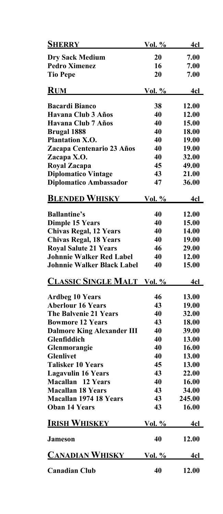| <b>SHERRY</b>                     | <u>Vol. %</u> | 4cl        |
|-----------------------------------|---------------|------------|
| <b>Dry Sack Medium</b>            | 20            | 7.00       |
| <b>Pedro Ximenez</b>              | 16            | 7.00       |
| <b>Tio Pepe</b>                   | 20            | 7.00       |
|                                   |               |            |
| <u>RUM</u>                        | <u>Vol. %</u> | <u>4cl</u> |
| <b>Bacardi Bianco</b>             | 38            | 12.00      |
| Havana Club 3 Años                | 40            | 12.00      |
| Havana Club 7 Años                | 40            | 15.00      |
| <b>Brugal 1888</b>                | 40            | 18.00      |
| <b>Plantation X.O.</b>            | 40            | 19.00      |
| Zacapa Centenario 23 Años         | 40            | 19.00      |
| Zacapa X.O.                       | 40            | 32.00      |
| Royal Zacapa                      | 45            | 49.00      |
| <b>Diplomatico Vintage</b>        | 43            | 21.00      |
| <b>Diplomatico Ambassador</b>     | 47            | 36.00      |
| <b>BLENDED WHISKY</b>             | Vol. %        | 4cl        |
|                                   |               |            |
| <b>Ballantine's</b>               | 40            | 12.00      |
| <b>Dimple 15 Years</b>            | 40            | 15.00      |
| <b>Chivas Regal, 12 Years</b>     | 40            | 14.00      |
| <b>Chivas Regal, 18 Years</b>     | 40            | 19.00      |
| <b>Royal Salute 21 Years</b>      | 46            | 29.00      |
| <b>Johnnie Walker Red Label</b>   | 40            | 12.00      |
| <b>Johnnie Walker Black Label</b> | 40            | 15.00      |
| <b>CLASSIC SINGLE MALT</b> Vol. % |               | 4cl        |
| <b>Ardbeg 10 Years</b>            | 46            | 13.00      |
| <b>Aberlour 16 Years</b>          | 43            | 19.00      |
| <b>The Balvenie 21 Years</b>      | 40            | 32.00      |
| <b>Bowmore 12 Years</b>           | 43            | 18.00      |
| <b>Dalmore King Alexander III</b> | 40            | 39.00      |
| Glenfiddich                       | 40            | 13.00      |
| Glenmorangie                      | 40            | 16.00      |
| <b>Glenlivet</b>                  | 40            | 13.00      |
| <b>Talisker 10 Years</b>          | 45            | 13.00      |
| <b>Lagavulin 16 Years</b>         | 43            | 22.00      |
| <b>Macallan</b> 12 Years          | 40            | 16.00      |
| <b>Macallan 18 Years</b>          | 43            | 34.00      |
| <b>Macallan 1974 18 Years</b>     | 43            | 245.00     |
| <b>Oban 14 Years</b>              | 43            | 16.00      |
| <b>IRISH WHISKEY</b>              | Vol. %        | <u>4cl</u> |
| <b>Jameson</b>                    | 40            | 12.00      |
| <b>CANADIAN WHISKY</b>            | Vol. %        | 4cl        |
| <b>Canadian Club</b>              | 40            | 12.00      |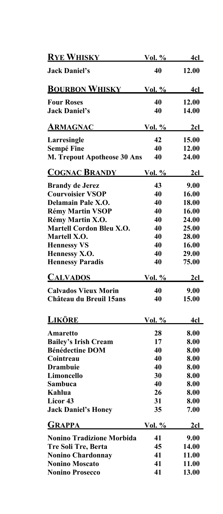| <b>RYE WHISKY</b>                | <u>Vol. %</u> | 4cl          |
|----------------------------------|---------------|--------------|
| <b>Jack Daniel's</b>             | 40            | 12.00        |
| <b>BOURBON WHISKY</b>            | <u>Vol. %</u> | 4cl          |
| <b>Four Roses</b>                | 40            | 12.00        |
| <b>Jack Daniel's</b>             | 40            | 14.00        |
| <u>ARMAGNAC</u>                  | <u>Vol. %</u> | 2cl          |
| Larresingle                      | 42            | 15.00        |
| <b>Sempé Fine</b>                | 40            | 12.00        |
| M. Trepout Apotheose 30 Ans      | 40            | 24.00        |
| <b>COGNAC BRANDY</b>             | <u>Vol. %</u> | <u>2cl</u>   |
| <b>Brandy de Jerez</b>           | 43            | 9.00         |
| <b>Courvoisier VSOP</b>          | 40            | 16.00        |
| Delamain Pale X.O.               | 40            | 18.00        |
| <b>Rémy Martin VSOP</b>          | 40            | 16.00        |
| Rémy Martin X.O.                 | 40            | 24.00        |
| <b>Martell Cordon Bleu X.O.</b>  | 40            | 25.00        |
| Martell X.O.                     | 40            | 28.00        |
| <b>Hennessy VS</b>               | 40            | 16.00        |
| Hennessy X.O.                    | 40            | 29.00        |
| <b>Hennessy Paradis</b>          | 40            | 75.00        |
| <u>CALVADOS</u>                  | <u>Vol. %</u> | <u>2cl</u>   |
| <b>Calvados Vieux Morin</b>      | 40            | 9.00         |
| Château du Breuil 15ans          | 40            | 15.00        |
| <b>LIKÖRE</b>                    | Vol. %        | 4cl          |
|                                  |               |              |
| Amaretto                         | 28            | 8.00         |
| <b>Bailey's Irish Cream</b>      | 17            | 8.00         |
| <b>Bénédectine DOM</b>           | 40            | 8.00         |
| Cointreau                        | 40            | 8.00         |
| <b>Drambuie</b>                  | 40            | 8.00         |
| Limoncello                       | 30            | 8.00         |
| Sambuca                          | 40            | 8.00         |
| Kahlua                           | 26            | 8.00         |
| Licor 43                         | 31            | 8.00         |
| <b>Jack Daniel's Honey</b>       | 35            | 7.00         |
| GRAPPA                           | <u>Vol. %</u> | 2cl          |
| <b>Nonino Tradizione Morbida</b> | 41            | 9.00         |
| Tre Soli Tre, Berta              | 45            | 14.00        |
| <b>Nonino Chardonnay</b>         | 41            | 11.00        |
| <b>Nonino Moscato</b>            | 41            | <b>11.00</b> |
| <b>Nonino Prosecco</b>           | 41            | 13.00        |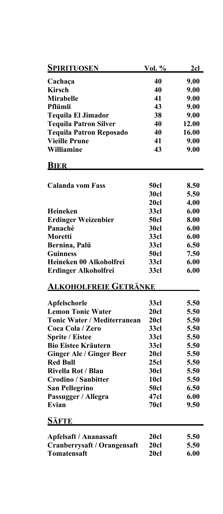| <u>Spirituosen</u>                 | Vol. %      | <u>2cl</u> |
|------------------------------------|-------------|------------|
| Cachaça                            | 40          | 9.00       |
| <b>Kirsch</b>                      | 40          | 9.00       |
| <b>Mirabelle</b>                   | 41          | 9.00       |
| Pflümli                            | 43          | 9.00       |
| <b>Tequila El Jimador</b>          | 38          | 9.00       |
| <b>Tequila Patron Silver</b>       | 40          | 12.00      |
| <b>Tequila Patron Reposado</b>     | 40          | 16.00      |
| <b>Vieille Prune</b>               | 41          | 9.00       |
| Williamine                         | 43          | 9.00       |
|                                    |             |            |
| <b>BIER</b>                        |             |            |
|                                    |             |            |
| <b>Calanda vom Fass</b>            | <b>50cl</b> | 8.50       |
|                                    | <b>30cl</b> | 5.50       |
|                                    | 20cl        | 4.00       |
| <b>Heineken</b>                    | 33cl        | 6.00       |
| <b>Erdinger Weizenbier</b>         | <b>50cl</b> | 8.00       |
| Panaché                            | <b>30cl</b> | 6.00       |
| Moretti                            | 33cl        | 6.00       |
| Bernina, Palü                      | 33cl        | 6.50       |
| <b>Guinness</b>                    | <b>50cl</b> | 7.50       |
| Heineken 00 Alkoholfrei            | 33cl        | 6.00       |
| <b>Erdinger Alkoholfrei</b>        | 33cl        | 6.00       |
| <u>Alkoholfreie Getränke</u>       |             |            |
| Apfelschorle                       | 33cl        | 5.50       |
| <b>Lemon Tonic Water</b>           | 20cl        | 5.50       |
| <b>Tonic Water / Mediterranean</b> | 20cl        | 5.50       |
| Coca Cola / Zero                   | 33cl        | 5.50       |
| <b>Sprite / Eistee</b>             | 33cl        | 5.50       |
| <b>Bio Eistee Kräutern</b>         | 33cl        | 5.50       |
| <b>Ginger Ale / Ginger Beer</b>    | <b>20cl</b> | 5.50       |
| <b>Red Bull</b>                    | 25c1        | 5.50       |
| <b>Rivella Rot / Blau</b>          | 30cl        | 5.50       |
| <b>Crodino / Sanbitter</b>         | <b>10cl</b> | 5.50       |
| <b>San Pellegrino</b>              | 50cl        | 6.50       |
| Passugger / Allegra                | 47cl        | 6.00       |
| Evian                              | <b>70cl</b> | 9.50       |
| Säfte                              |             |            |
|                                    |             |            |
| <b>Apfelsaft / Ananassaft</b>      | <b>20cl</b> | 5.50       |
| Cranberrysaft / Orangensaft        | 20cl        | 5.50       |
| <b>Tomatensaft</b>                 | 20cl        | 6.00       |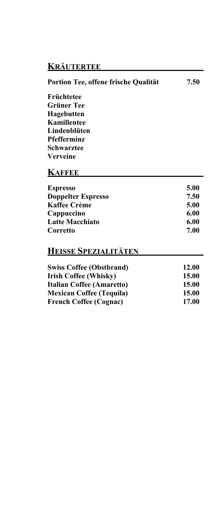## **KRÄUTERTEE**

| Portion Tee, offene frische Qualität | 7.50         |
|--------------------------------------|--------------|
| Früchtetee                           |              |
| <b>Grüner Tee</b>                    |              |
| Hagebutten                           |              |
| Kamillentee                          |              |
| Lindenblüten                         |              |
| <b>Pfefferminz</b>                   |              |
| Schwarztee                           |              |
| Verveine                             |              |
| <b>KAFFEE</b>                        |              |
| <b>Espresso</b>                      | 5.00         |
| <b>Doppelter Espresso</b>            | 7.50         |
| <b>Kaffee Crème</b>                  | 5.00         |
| Cappuccino                           | 6.00         |
| <b>Latte Macchiato</b>               | 6.00         |
| Corretto                             | 7.00         |
| <b>HEISSE SPEZIALITÄTEN</b>          |              |
| <b>Swiss Coffee (Obstbrand)</b>      | 12.00        |
| <b>Irish Coffee (Whisky)</b>         | <b>15.00</b> |
| <b>Italian Coffee (Amaretto)</b>     | 15.00        |
| <b>Mexican Coffee (Tequila)</b>      | 15.00        |
| <b>French Coffee (Cognac)</b>        | 17.00        |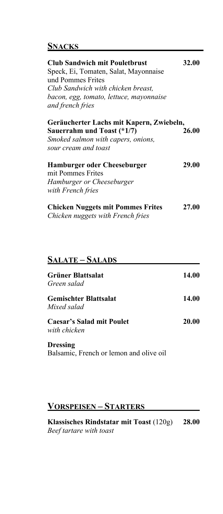#### **SNACKS**

| <b>Club Sandwich mit Pouletbrust</b><br>Speck, Ei, Tomaten, Salat, Mayonnaise<br>und Pommes Frites<br>Club Sandwich with chicken breast,<br>bacon, egg, tomato, lettuce, mayonnaise<br>and french fries | 32.00 |
|---------------------------------------------------------------------------------------------------------------------------------------------------------------------------------------------------------|-------|
| Geräucherter Lachs mit Kapern, Zwiebeln,<br>Sauerrahm und Toast (*1/7)<br>Smoked salmon with capers, onions,<br>sour cream and toast                                                                    | 26.00 |
| <b>Hamburger oder Cheeseburger</b><br>mit Pommes Frites<br>Hamburger or Cheeseburger<br>with French fries                                                                                               | 29.00 |
| <b>Chicken Nuggets mit Pommes Frites</b><br>Chicken nuggets with French fries                                                                                                                           | 27.00 |

#### **SALATE – SALADS**

| Grüner Blattsalat<br>Green salad            | 14.00 |
|---------------------------------------------|-------|
| <b>Gemischter Blattsalat</b><br>Mixed salad | 14.00 |
| Caesar's Salad mit Poulet<br>with chicken   | 20.00 |
| <b>Dressing</b>                             |       |

Balsamic, French or lemon and olive oil

## **VORSPEISEN – STARTERS**

**Klassisches Rindstatar mit Toast** (120g) **28.00** *Beef tartare with toast*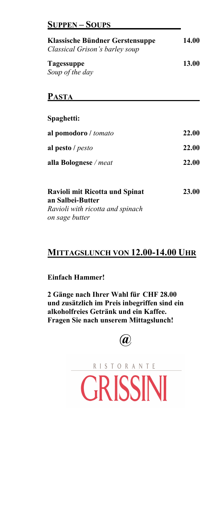#### **SUPPEN – SOUPS**

| <b>Klassische Bündner Gerstensuppe</b><br>Classical Grison's barley soup                                        | <b>14.00</b> |
|-----------------------------------------------------------------------------------------------------------------|--------------|
| <b>Tagessuppe</b><br>Soup of the day                                                                            | <b>13.00</b> |
| <b>PASTA</b>                                                                                                    |              |
| Spaghetti:                                                                                                      |              |
| al pomodoro / tomato                                                                                            | 22.00        |
| al pesto / pesto                                                                                                | 22.00        |
| alla Bolognese / meat                                                                                           | 22.00        |
| <b>Ravioli mit Ricotta und Spinat</b><br>an Salbei-Butter<br>Ravioli with ricotta and spinach<br>on sage butter | 23.00        |

#### **MITTAGSLUNCH VON 12.00-14.00 UHR**

#### **Einfach Hammer!**

**2 Gänge nach Ihrer Wahl für CHF 28.00 und zusätzlich im Preis inbegriffen sind ein alkoholfreies Getränk und ein Kaffee. Fragen Sie nach unserem Mittagslunch!**



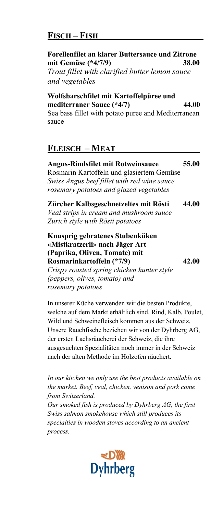### **FISCH – FISH**

#### **Forellenfilet an klarer Buttersauce und Zitrone mit Gemüse (\*4/7/9) 38.00** *Trout fillet with clarified butter lemon sauce and vegetables*

**Wolfsbarschfilet mit Kartoffelpüree und mediterraner Sauce (\*4/7) 44.00** Sea bass fillet with potato puree and Mediterranean sauce

### **FLEISCH – MEAT**

**Angus-Rindsfilet mit Rotweinsauce 55.00** Rosmarin Kartoffeln und glasiertem Gemüse *Swiss Angus beef fillet with red wine sauce rosemary potatoes and glazed vegetables*

**Zürcher Kalbsgeschnetzeltes mit Rösti 44.00** *Veal strips in cream and mushroom sauce Zurich style with Rösti potatoes*

**Knusprig gebratenes Stubenküken «Mistkratzerli» nach Jäger Art (Paprika, Oliven, Tomate) mit Rosmarinkartoffeln (\*7/9) 42.00** *Crispy roasted spring chicken hunter style (peppers, olives, tomato) and* 

*rosemary potatoes*

In unserer Küche verwenden wir die besten Produkte, welche auf dem Markt erhältlich sind. Rind, Kalb, Poulet, Wild und Schweinefleisch kommen aus der Schweiz. Unsere Rauchfische beziehen wir von der Dyhrberg AG, der ersten Lachsräucherei der Schweiz, die ihre ausgesuchten Spezialitäten noch immer in der Schweiz nach der alten Methode im Holzofen räuchert.

*In our kitchen we only use the best products available on the market. Beef, veal, chicken, venison and pork come from Switzerland.*

*Our smoked fish is produced by Dyhrberg AG, the first Swiss salmon smokehouse which still produces its specialties in wooden stoves according to an ancient process.*